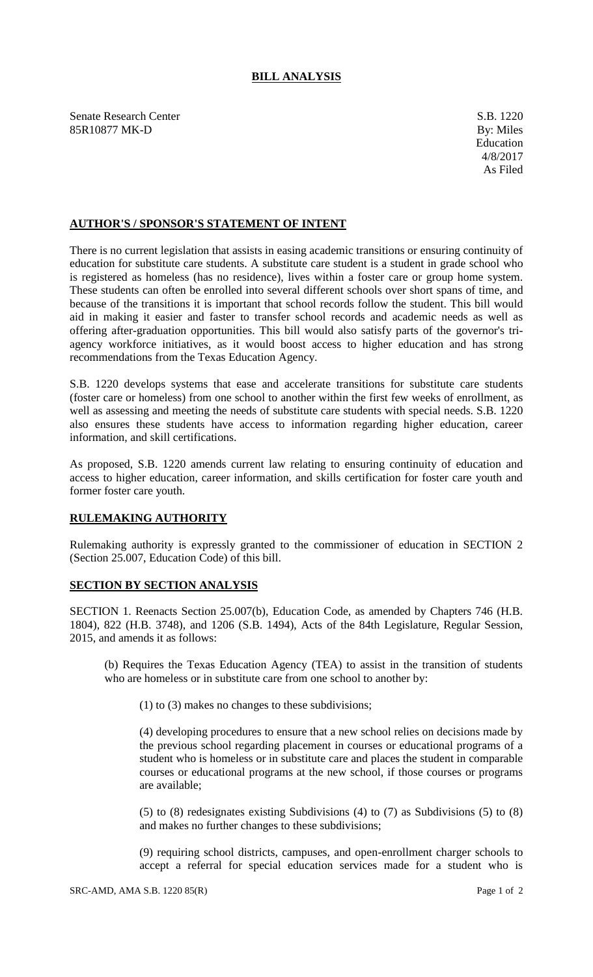## **BILL ANALYSIS**

Senate Research Center S.B. 1220 85R10877 MK-D By: Miles

## **AUTHOR'S / SPONSOR'S STATEMENT OF INTENT**

There is no current legislation that assists in easing academic transitions or ensuring continuity of education for substitute care students. A substitute care student is a student in grade school who is registered as homeless (has no residence), lives within a foster care or group home system. These students can often be enrolled into several different schools over short spans of time, and because of the transitions it is important that school records follow the student. This bill would aid in making it easier and faster to transfer school records and academic needs as well as offering after-graduation opportunities. This bill would also satisfy parts of the governor's triagency workforce initiatives, as it would boost access to higher education and has strong recommendations from the Texas Education Agency.

S.B. 1220 develops systems that ease and accelerate transitions for substitute care students (foster care or homeless) from one school to another within the first few weeks of enrollment, as well as assessing and meeting the needs of substitute care students with special needs. S.B. 1220 also ensures these students have access to information regarding higher education, career information, and skill certifications.

As proposed, S.B. 1220 amends current law relating to ensuring continuity of education and access to higher education, career information, and skills certification for foster care youth and former foster care youth.

## **RULEMAKING AUTHORITY**

Rulemaking authority is expressly granted to the commissioner of education in SECTION 2 (Section 25.007, Education Code) of this bill.

## **SECTION BY SECTION ANALYSIS**

SECTION 1. Reenacts Section 25.007(b), Education Code, as amended by Chapters 746 (H.B. 1804), 822 (H.B. 3748), and 1206 (S.B. 1494), Acts of the 84th Legislature, Regular Session, 2015, and amends it as follows:

(b) Requires the Texas Education Agency (TEA) to assist in the transition of students who are homeless or in substitute care from one school to another by:

(1) to (3) makes no changes to these subdivisions;

(4) developing procedures to ensure that a new school relies on decisions made by the previous school regarding placement in courses or educational programs of a student who is homeless or in substitute care and places the student in comparable courses or educational programs at the new school, if those courses or programs are available;

(5) to (8) redesignates existing Subdivisions (4) to (7) as Subdivisions (5) to (8) and makes no further changes to these subdivisions;

(9) requiring school districts, campuses, and open-enrollment charger schools to accept a referral for special education services made for a student who is